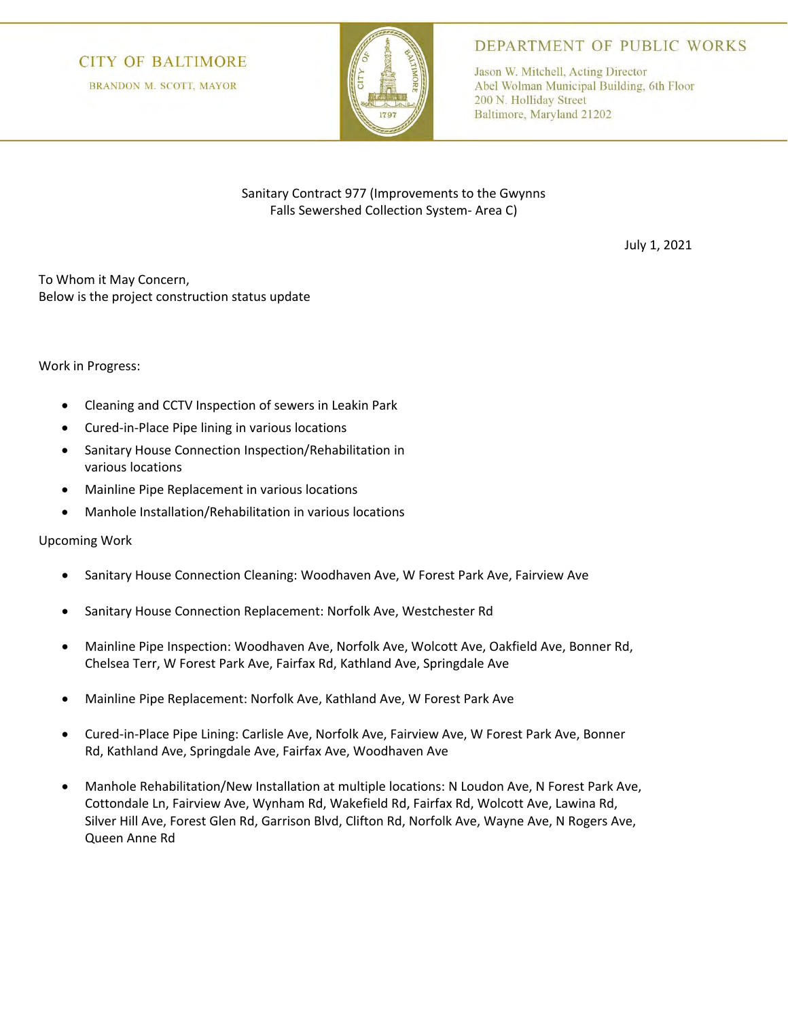## **CITY OF BALTIMORE**

**BRANDON M. SCOTT, MAYOR** 



DEPARTMENT OF PUBLIC WORKS

Jason W. Mitchell, Acting Director Abel Wolman Municipal Building, 6th Floor 200 N. Holliday Street Baltimore, Maryland 21202

Sanitary Contract 977 (Improvements to the Gwynns Falls Sewershed Collection System- Area C)

July 1, 2021

To Whom it May Concern, Below is the project construction status update

## Work in Progress:

- Cleaning and CCTV Inspection of sewers in Leakin Park
- Cured-in-Place Pipe lining in various locations
- Sanitary House Connection Inspection/Rehabilitation in various locations
- Mainline Pipe Replacement in various locations
- Manhole Installation/Rehabilitation in various locations

## Upcoming Work

- Sanitary House Connection Cleaning: Woodhaven Ave, W Forest Park Ave, Fairview Ave
- Sanitary House Connection Replacement: Norfolk Ave, Westchester Rd
- Mainline Pipe Inspection: Woodhaven Ave, Norfolk Ave, Wolcott Ave, Oakfield Ave, Bonner Rd, Chelsea Terr, W Forest Park Ave, Fairfax Rd, Kathland Ave, Springdale Ave
- Mainline Pipe Replacement: Norfolk Ave, Kathland Ave, W Forest Park Ave
- Cured-in-Place Pipe Lining: Carlisle Ave, Norfolk Ave, Fairview Ave, W Forest Park Ave, Bonner Rd, Kathland Ave, Springdale Ave, Fairfax Ave, Woodhaven Ave
- Manhole Rehabilitation/New Installation at multiple locations: N Loudon Ave, N Forest Park Ave, Cottondale Ln, Fairview Ave, Wynham Rd, Wakefield Rd, Fairfax Rd, Wolcott Ave, Lawina Rd, Silver Hill Ave, Forest Glen Rd, Garrison Blvd, Clifton Rd, Norfolk Ave, Wayne Ave, N Rogers Ave, Queen Anne Rd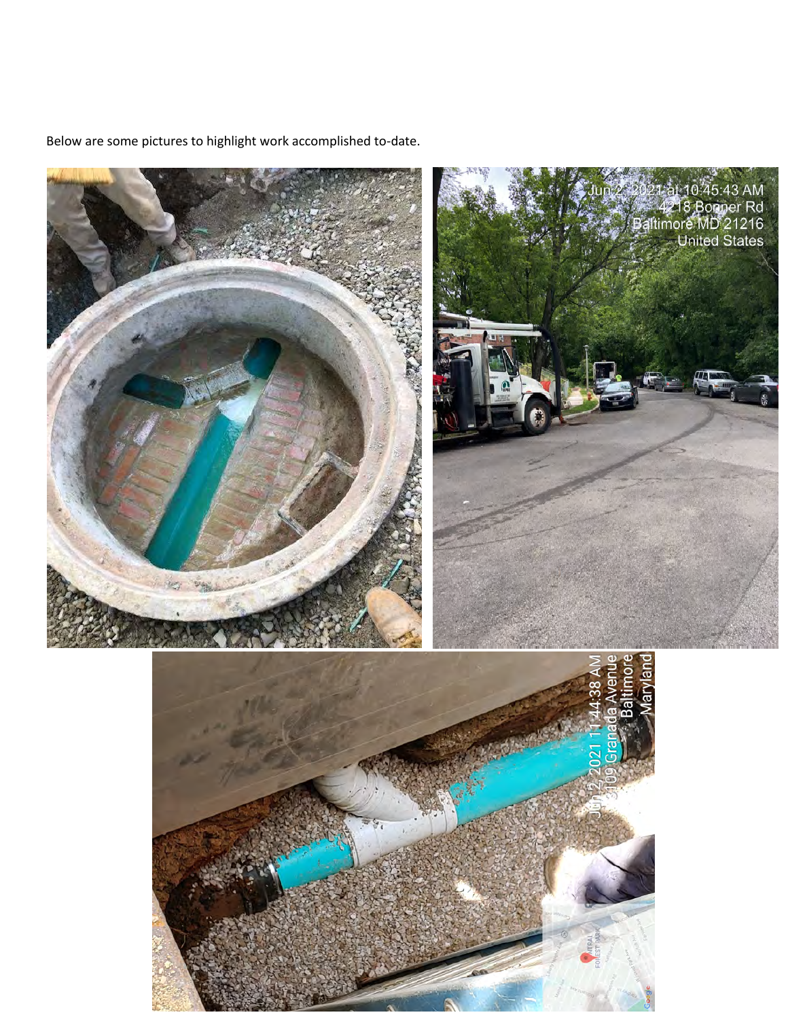

Below are some pictures to highlight work accomplished to-date.